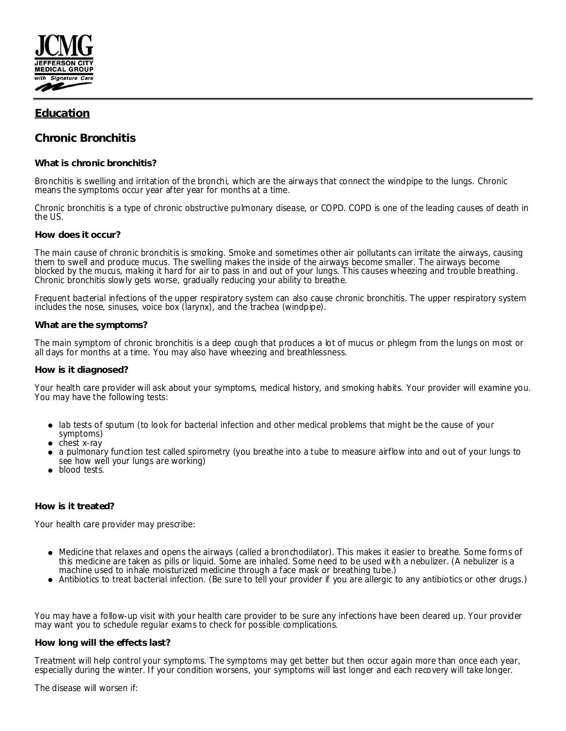

# **Education**

# **Chronic Bronchitis**

## **What is chronic bronchitis?**

Bronchitis is swelling and irritation of the bronchi, which are the airways that connect the windpipe to the lungs. Chronic means the symptoms occur year after year for months at a time.

Chronic bronchitis is a type of chronic obstructive pulmonary disease, or COPD. COPD is one of the leading causes of death in the US.

### **How does it occur?**

The main cause of chronic bronchitis is smoking. Smoke and sometimes other air pollutants can irritate the airways, causing them to swell and produce mucus. The swelling makes the inside of the airways become smaller. The airways become blocked by the mucus, making it hard for air to pass in and out of your lungs. This causes wheezing and trouble breathing. Chronic bronchitis slowly gets worse, gradually reducing your ability to breathe.

Frequent bacterial infections of the upper respiratory system can also cause chronic bronchitis. The upper respiratory system includes the nose, sinuses, voice box (larynx), and the trachea (windpipe).

### **What are the symptoms?**

The main symptom of chronic bronchitis is a deep cough that produces a lot of mucus or phlegm from the lungs on most or all days for months at a time. You may also have wheezing and breathlessness.

#### **How is it diagnosed?**

Your health care provider will ask about your symptoms, medical history, and smoking habits. Your provider will examine you. You may have the following tests:

- lab tests of sputum (to look for bacterial infection and other medical problems that might be the cause of your symptoms)
- chest x-ray
- a pulmonary function test called spirometry (you breathe into a tube to measure airflow into and out of your lungs to see how well your lungs are working)
- blood tests.

#### **How is it treated?**

Your health care provider may prescribe:

- Medicine that relaxes and opens the airways (called a bronchodilator). This makes it easier to breathe. Some forms of this medicine are taken as pills or liquid. Some are inhaled. Some need to be used with a nebulizer. (A nebulizer is a machine used to inhale moisturized medicine through a face mask or breathing tube.)
- Antibiotics to treat bacterial infection. (Be sure to tell your provider if you are allergic to any antibiotics or other drugs.)

You may have a follow-up visit with your health care provider to be sure any infections have been cleared up. Your provider may want you to schedule regular exams to check for possible complications.

## **How long will the effects last?**

Treatment will help control your symptoms. The symptoms may get better but then occur again more than once each year, especially during the winter. If your condition worsens, your symptoms will last longer and each recovery will take longer.

The disease will worsen if: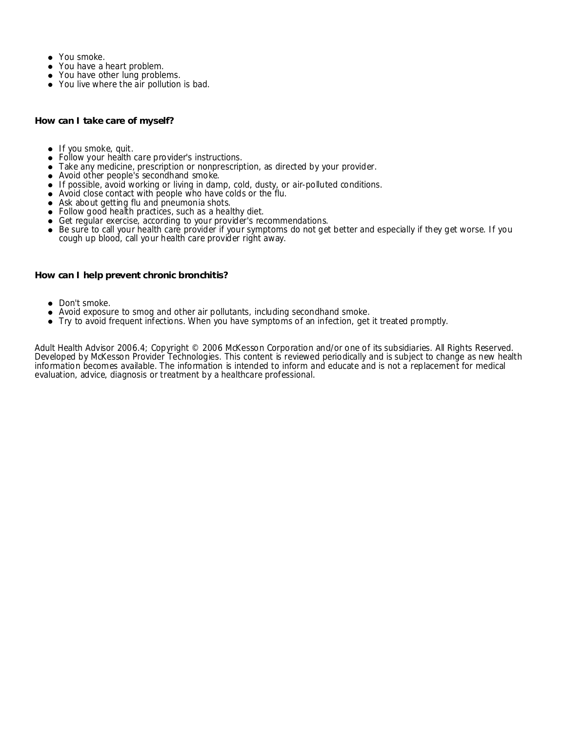- You smoke.
- You have a heart problem.
- You have other lung problems.
- You live where the air pollution is bad.

**How can I take care of myself?**

- $\bullet$  If you smoke, quit.
- Follow your health care provider's instructions.
- Take any medicine, prescription or nonprescription, as directed by your provider.
- Avoid other people's secondhand smoke.
- If possible, avoid working or living in damp, cold, dusty, or air-polluted conditions.
- Avoid close contact with people who have colds or the flu.
- Ask about getting flu and pneumonia shots.
- Follow good health practices, such as a healthy diet.
- Get regular exercise, according to your provider's recommendations.
- Be sure to call your health care provider if your symptoms do not get better and especially if they get worse. If you cough up blood, call your health care provider right away.

**How can I help prevent chronic bronchitis?**

- Don't smoke.
- Avoid exposure to smog and other air pollutants, including secondhand smoke.
- Try to avoid frequent infections. When you have symptoms of an infection, get it treated promptly.

Adult Health Advisor 2006.4; Copyright © 2006 McKesson Corporation and/or one of its subsidiaries. All Rights Reserved. Developed by McKesson Provider Technologies. This content is reviewed periodically and is subject to change as new health information becomes available. The information is intended to inform and educate and is not a replacement for medical evaluation, advice, diagnosis or treatment by a healthcare professional.